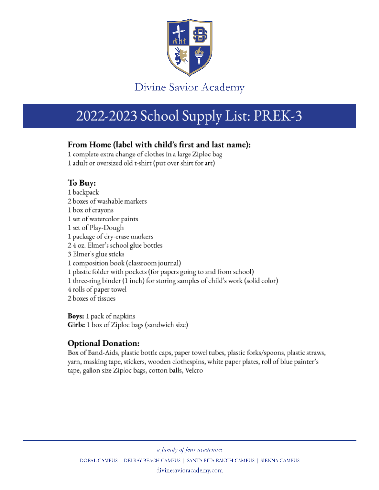

# 2022-2023 School Supply List: PREK-3

### From Home (label with child's first and last name):

1 complete extra change of clothes in a large Ziploc bag 1 adult or oversized old t-shirt (put over shirt for art)

## To Buy:

1 backpack 2 boxes of washable markers 1 box of crayons 1 set of watercolor paints 1 set of Play-Dough 1 package of dry-erase markers 2 4 oz. Elmer's school glue bottles 3 Elmer's glue sticks 1 composition book (classroom journal) 1 plastic folder with pockets (for papers going to and from school) 1 three-ring binder (1 inch) for storing samples of child's work (solid color) 4 rolls of paper towel 2 boxes of tissues

**Boys:** 1 pack of napkins **Girls:** 1 box of Ziploc bags (sandwich size)

## **Optional Donation:**

Box of Band-Aids, plastic bottle caps, paper towel tubes, plastic forks/spoons, plastic straws, yarn, masking tape, stickers, wooden clothespins, white paper plates, roll of blue painter's tape, gallon size Ziploc bags, cotton balls, Velcro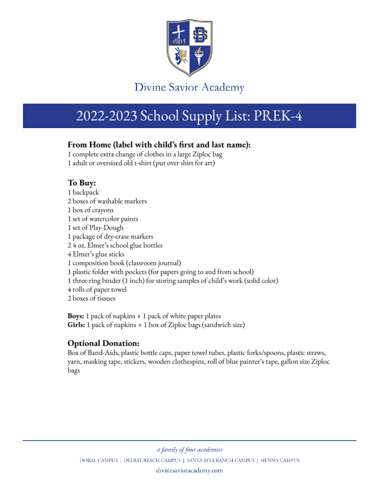

# 2022-2023 School Supply List: PREK-4

### From Home (label with child's first and last name):

1 complete extra change of clothes in a large Ziploc bag 1 adult or oversized old t-shirt (put over shirt for art)

## To Buy:

1 backpack 2 boxes of washable markers 1 box of crayons 1 set of watercolor paints 1 set of Play-Dough 1 package of dry-erase markers 2 4 oz. Elmer's school glue bottles 4 Elmer's glue sticks 1 composition book (classroom journal) 1 plastic folder with pockets (for papers going to and from school) 1 three-ring binder (1 inch) for storing samples of child's work (solid color) 4 rolls of paper towel 2 boxes of tissues

**Boys:** 1 pack of napkins  $+1$  pack of white paper plates **Girls:** 1 pack of napkins  $+1$  box of Ziploc bags (sandwich size)

## **Optional Donation:**

Box of Band-Aids, plastic bottle caps, paper towel tubes, plastic forks/spoons, plastic straws, yarn, masking tape, stickers, wooden clothespins, roll of blue painter's tape, gallon size Ziploc bags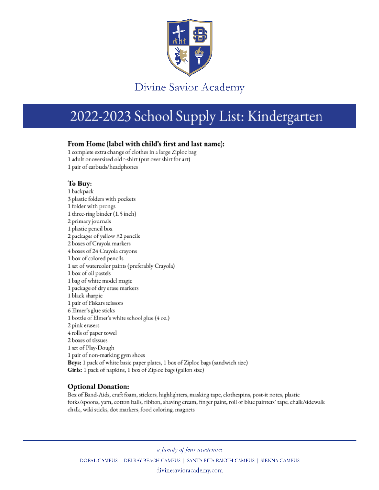

# 2022-2023 School Supply List: Kindergarten

#### From Home (label with child's first and last name):

1 complete extra change of clothes in a large Ziploc bag 1 adult or oversized old t-shirt (put over shirt for art) 1 pair of earbuds/headphones

#### To Buy:

1 backpack 3 plastic folders with pockets 1 folder with prongs 1 three-ring binder (1.5 inch) 2 primary journals 1 plastic pencil box 2 packages of yellow #2 pencils 2 boxes of Crayola markers 4 boxes of 24 Crayola crayons 1 box of colored pencils 1 set of watercolor paints (preferably Crayola) 1 box of oil pastels 1 bag of white model magic 1 package of dry erase markers 1 black sharpie 1 pair of Fiskars scissors 6 Elmer's glue sticks 1 bottle of Elmer's white school glue (4 oz.) 2 pink erasers 4 rolls of paper towel 2 boxes of tissues 1 set of Play-Dough 1 pair of non-marking gym shoes Boys: 1 pack of white basic paper plates, 1 box of Ziploc bags (sandwich size) Girls: 1 pack of napkins, 1 box of Ziploc bags (gallon size)

#### **Optional Donation:**

Box of Band-Aids, craft foam, stickers, highlighters, masking tape, clothespins, post-it notes, plastic forks/spoons, yarn, cotton balls, ribbon, shaving cream, finger paint, roll of blue painters' tape, chalk/sidewalk chalk, wiki sticks, dot markers, food coloring, magnets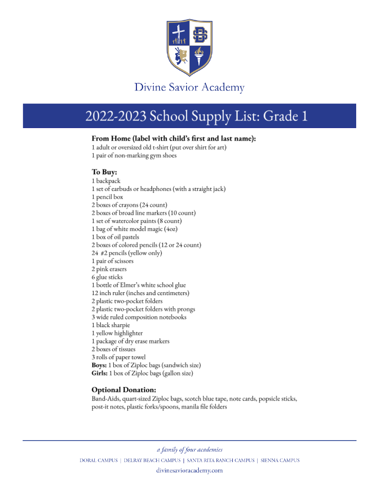

# 2022-2023 School Supply List: Grade 1

#### From Home (label with child's first and last name):

1 adult or oversized old t-shirt (put over shirt for art) 1 pair of non-marking gym shoes

#### To Buy:

1 backpack 1 set of earbuds or headphones (with a straight jack) 1 pencil box 2 boxes of crayons (24 count) 2 boxes of broad line markers (10 count) 1 set of watercolor paints (8 count) 1 bag of white model magic (40z) 1 box of oil pastels 2 boxes of colored pencils (12 or 24 count) 24 #2 pencils (yellow only) 1 pair of scissors 2 pink erasers 6 glue sticks 1 bottle of Elmer's white school glue 12 inch ruler (inches and centimeters) 2 plastic two-pocket folders 2 plastic two-pocket folders with prongs 3 wide ruled composition notebooks 1 black sharpie 1 yellow highlighter 1 package of dry erase markers 2 boxes of tissues 3 rolls of paper towel Boys: 1 box of Ziploc bags (sandwich size) Girls: 1 box of Ziploc bags (gallon size)

#### **Optional Donation:**

Band-Aids, quart-sized Ziploc bags, scotch blue tape, note cards, popsicle sticks, post-it notes, plastic forks/spoons, manila file folders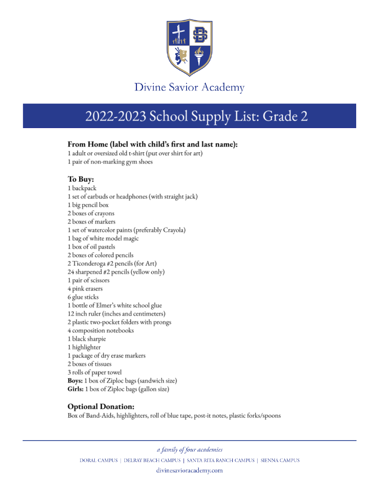

# 2022-2023 School Supply List: Grade 2

### From Home (label with child's first and last name):

1 adult or oversized old t-shirt (put over shirt for art) 1 pair of non-marking gym shoes

### To Buy:

1 backpack 1 set of earbuds or headphones (with straight jack) 1 big pencil box 2 boxes of crayons 2 boxes of markers 1 set of watercolor paints (preferably Crayola) 1 bag of white model magic 1 box of oil pastels 2 boxes of colored pencils 2 Ticonderoga #2 pencils (for Art) 24 sharpened #2 pencils (yellow only) 1 pair of scissors 4 pink erasers 6 glue sticks 1 bottle of Elmer's white school glue 12 inch ruler (inches and centimeters) 2 plastic two-pocket folders with prongs 4 composition notebooks 1 black sharpie 1 highlighter 1 package of dry erase markers 2 boxes of tissues 3 rolls of paper towel Boys: 1 box of Ziploc bags (sandwich size) Girls: 1 box of Ziploc bags (gallon size)

### **Optional Donation:**

Box of Band-Aids, highlighters, roll of blue tape, post-it notes, plastic forks/spoons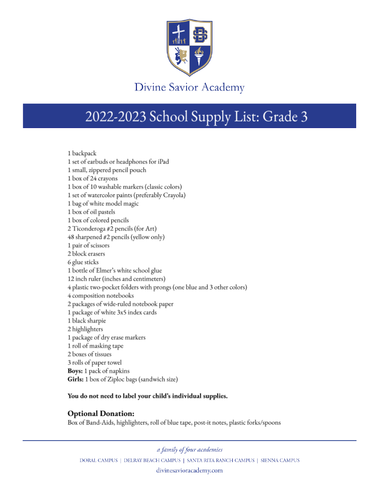

# 2022-2023 School Supply List: Grade 3

1 backpack 1 set of earbuds or headphones for iPad 1 small, zippered pencil pouch 1 box of 24 crayons 1 box of 10 washable markers (classic colors) 1 set of watercolor paints (preferably Crayola) 1 bag of white model magic 1 box of oil pastels 1 box of colored pencils 2 Ticonderoga #2 pencils (for Art) 48 sharpened #2 pencils (yellow only) 1 pair of scissors 2 block erasers 6 glue sticks 1 bottle of Elmer's white school glue 12 inch ruler (inches and centimeters) 4 plastic two-pocket folders with prongs (one blue and 3 other colors) 4 composition notebooks 2 packages of wide-ruled notebook paper 1 package of white 3x5 index cards 1 black sharpie 2 highlighters 1 package of dry erase markers 1 roll of masking tape 2 boxes of tissues 3 rolls of paper towel **Boys:** 1 pack of napkins Girls: 1 box of Ziploc bags (sandwich size)

#### You do not need to label your child's individual supplies.

### **Optional Donation:**

Box of Band-Aids, highlighters, roll of blue tape, post-it notes, plastic forks/spoons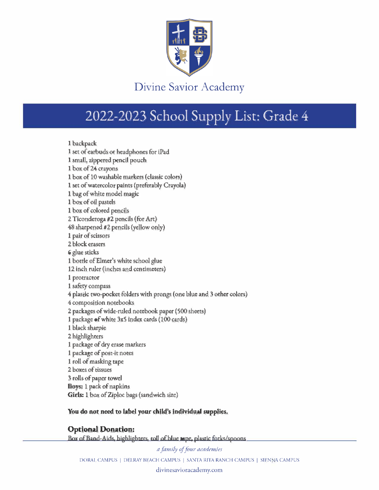

# 2022-2023 School Supply List: Grade 4

**1 backpack 1 set of earbuds or headphones for iPad 1 small, iippered pencil pouch**  1 box of 24 crayons 1 box of 10 washable markers (classic colors) 1 set of watercolor paints (preferably Crayola) **1 bag of white model magic**  1 box of oil pastels **1 box of colored pencils 2 Ticm deroga 112 pencls (for Art) 48 sharpened #2 penci]s {yeUow only) 1 pair of scissors 2 block erns-ers 6 glue sticks 1 bottle of Elmer's wh.ite school glue 12 inch ruler (inches and centimeters) 1 protractor 1 safety compass**  4 plastic two-pocket folders with prongs (one blue and 3 other colors) **4 composition notebooks 2 packages of wide-ruled notebook paper ( 500 sheets)**  1 package of white 3x5 index cards (100 cards) **1 black sharpie 2 highlighters 1 package of dry erase markers 1 package of post-it noces 1 roJl of masking tape 2 boxes of rissues 3 rolls of paper rowel Boys: 1 pack of napkins Girh: 1 box ofZipJoc bags (sandwich size}** 

#### You do not need to label your child's individual supplies.

#### **OptionaJ Donation:**

Box of Band-Aids, highlighters, roll of blue mpe, plastic forks/spoons

 $a$  *family of four academies* DORAL CAMPUS | DELRAY BEACH CAMPUS | SANTA RITA RANCH CAMPUS | SIENNA CAMPUS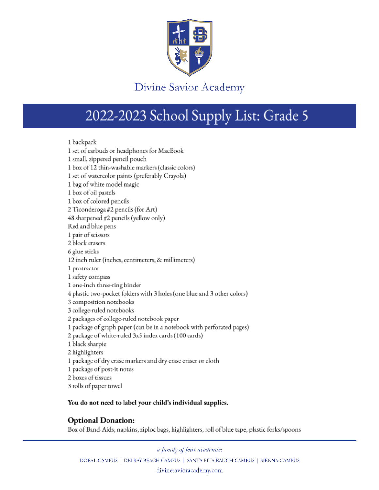

# 2022-2023 School Supply List: Grade 5

1 backpack 1 set of earbuds or headphones for MacBook 1 small, zippered pencil pouch 1 box of 12 thin-washable markers (classic colors) 1 set of watercolor paints (preferably Crayola) 1 bag of white model magic 1 box of oil pastels 1 box of colored pencils 2 Ticonderoga #2 pencils (for Art) 48 sharpened #2 pencils (yellow only) Red and blue pens 1 pair of scissors 2 block erasers 6 glue sticks 12 inch ruler (inches, centimeters, & millimeters) 1 protractor 1 safety compass 1 one-inch three-ring binder 4 plastic two-pocket folders with 3 holes (one blue and 3 other colors) 3 composition notebooks 3 college-ruled notebooks 2 packages of college-ruled notebook paper 1 package of graph paper (can be in a notebook with perforated pages) 2 package of white-ruled 3x5 index cards (100 cards) 1 black sharpie 2 highlighters 1 package of dry erase markers and dry erase eraser or cloth 1 package of post-it notes 2 boxes of tissues

3 rolls of paper towel

#### You do not need to label your child's individual supplies.

### **Optional Donation:**

Box of Band-Aids, napkins, ziploc bags, highlighters, roll of blue tape, plastic forks/spoons